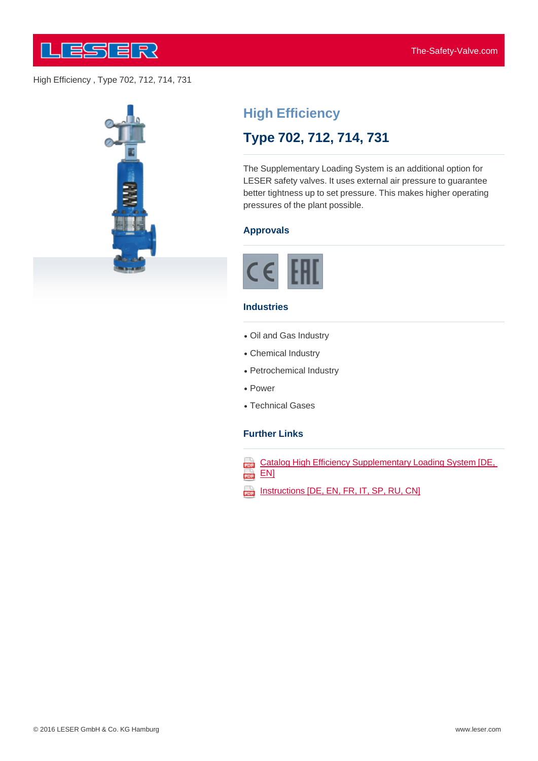

High Efficiency , Type 702, 712, 714, 731



# **High Efficiency**

## **Type 702, 712, 714, 731**

The Supplementary Loading System is an additional option for LESER safety valves. It uses external air pressure to guarantee better tightness up to set pressure. This makes higher operating pressures of the plant possible.

#### **Approvals**



#### **Industries**

- Oil and Gas Industry
- Chemical Industry
- Petrochemical Industry
- Power
- Technical Gases

#### **Further Links**

- Catalog High Efficiency Supplementary Loading System [DE,  $\overline{\text{em}}$  EN]
- Instructions [DE, EN, FR, IT, SP, RU, CN]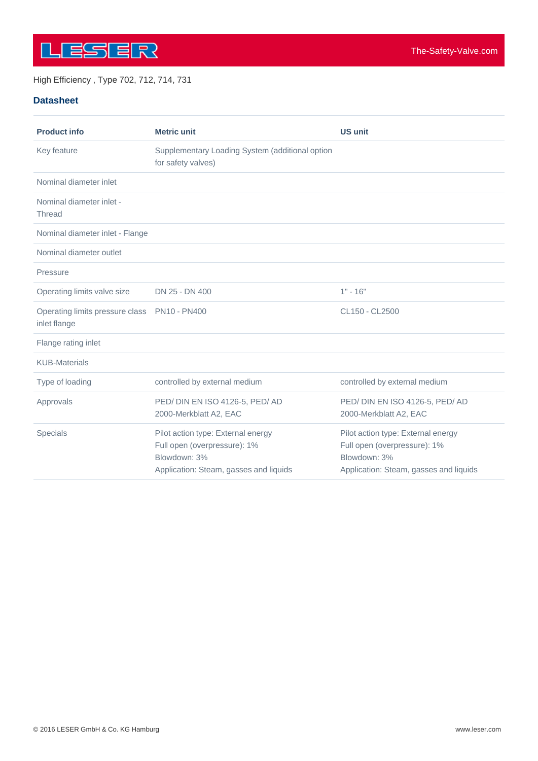

#### High Efficiency , Type 702, 712, 714, 731

#### **Datasheet**

| <b>Product info</b>                                          | <b>Metric unit</b>                                                                                                           | <b>US unit</b>                                                                                                               |
|--------------------------------------------------------------|------------------------------------------------------------------------------------------------------------------------------|------------------------------------------------------------------------------------------------------------------------------|
| Key feature                                                  | Supplementary Loading System (additional option<br>for safety valves)                                                        |                                                                                                                              |
| Nominal diameter inlet                                       |                                                                                                                              |                                                                                                                              |
| Nominal diameter inlet -<br><b>Thread</b>                    |                                                                                                                              |                                                                                                                              |
| Nominal diameter inlet - Flange                              |                                                                                                                              |                                                                                                                              |
| Nominal diameter outlet                                      |                                                                                                                              |                                                                                                                              |
| Pressure                                                     |                                                                                                                              |                                                                                                                              |
| Operating limits valve size                                  | DN 25 - DN 400                                                                                                               | $1" - 16"$                                                                                                                   |
| Operating limits pressure class PN10 - PN400<br>inlet flange |                                                                                                                              | CL150 - CL2500                                                                                                               |
| Flange rating inlet                                          |                                                                                                                              |                                                                                                                              |
| <b>KUB-Materials</b>                                         |                                                                                                                              |                                                                                                                              |
| Type of loading                                              | controlled by external medium                                                                                                | controlled by external medium                                                                                                |
| Approvals                                                    | PED/DIN EN ISO 4126-5, PED/AD<br>2000-Merkblatt A2, EAC                                                                      | PED/DIN EN ISO 4126-5, PED/AD<br>2000-Merkblatt A2, EAC                                                                      |
| Specials                                                     | Pilot action type: External energy<br>Full open (overpressure): 1%<br>Blowdown: 3%<br>Application: Steam, gasses and liquids | Pilot action type: External energy<br>Full open (overpressure): 1%<br>Blowdown: 3%<br>Application: Steam, gasses and liquids |